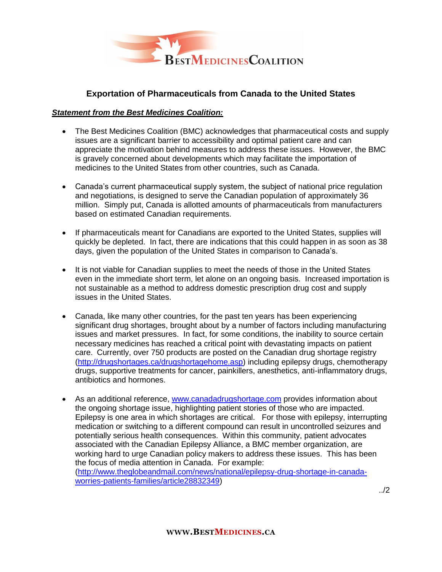

# **Exportation of Pharmaceuticals from Canada to the United States**

## *Statement from the Best Medicines Coalition:*

- The Best Medicines Coalition (BMC) acknowledges that pharmaceutical costs and supply issues are a significant barrier to accessibility and optimal patient care and can appreciate the motivation behind measures to address these issues. However, the BMC is gravely concerned about developments which may facilitate the importation of medicines to the United States from other countries, such as Canada.
- Canada's current pharmaceutical supply system, the subject of national price regulation and negotiations, is designed to serve the Canadian population of approximately 36 million. Simply put, Canada is allotted amounts of pharmaceuticals from manufacturers based on estimated Canadian requirements.
- If pharmaceuticals meant for Canadians are exported to the United States, supplies will quickly be depleted. In fact, there are indications that this could happen in as soon as 38 days, given the population of the United States in comparison to Canada's.
- It is not viable for Canadian supplies to meet the needs of those in the United States even in the immediate short term, let alone on an ongoing basis. Increased importation is not sustainable as a method to address domestic prescription drug cost and supply issues in the United States.
- Canada, like many other countries, for the past ten years has been experiencing significant drug shortages, brought about by a number of factors including manufacturing issues and market pressures. In fact, for some conditions, the inability to source certain necessary medicines has reached a critical point with devastating impacts on patient care. Currently, over 750 products are posted on the Canadian drug shortage registry [\(http://drugshortages.ca/drugshortagehome.asp\)](http://drugshortages.ca/drugshortagehome.asp) including epilepsy drugs, chemotherapy drugs, supportive treatments for cancer, painkillers, anesthetics, anti-inflammatory drugs, antibiotics and hormones.
- As an additional reference, [www.canadadrugshortage.com](http://www.canadadrugshortage.com/) provides information about the ongoing shortage issue, highlighting patient stories of those who are impacted. Epilepsy is one area in which shortages are critical. For those with epilepsy, interrupting medication or switching to a different compound can result in uncontrolled seizures and potentially serious health consequences. Within this community, patient advocates associated with the Canadian Epilepsy Alliance, a BMC member organization, are working hard to urge Canadian policy makers to address these issues. This has been the focus of media attention in Canada. For example:

[\(http://www.theglobeandmail.com/news/national/epilepsy-drug-shortage-in-canada](http://www.theglobeandmail.com/news/national/epilepsy-drug-shortage-in-canada-worries-patients-families/article28832349)[worries-patients-families/article28832349\)](http://www.theglobeandmail.com/news/national/epilepsy-drug-shortage-in-canada-worries-patients-families/article28832349)